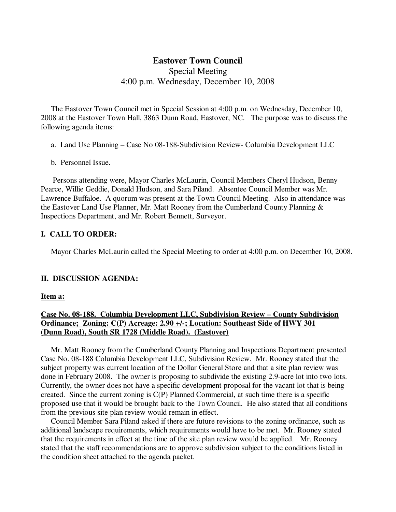### **Eastover Town Council**

Special Meeting 4:00 p.m. Wednesday, December 10, 2008

 The Eastover Town Council met in Special Session at 4:00 p.m. on Wednesday, December 10, 2008 at the Eastover Town Hall, 3863 Dunn Road, Eastover, NC. The purpose was to discuss the following agenda items:

a. Land Use Planning – Case No 08-188-Subdivision Review- Columbia Development LLC

b. Personnel Issue.

 Persons attending were, Mayor Charles McLaurin, Council Members Cheryl Hudson, Benny Pearce, Willie Geddie, Donald Hudson, and Sara Piland. Absentee Council Member was Mr. Lawrence Buffaloe. A quorum was present at the Town Council Meeting. Also in attendance was the Eastover Land Use Planner, Mr. Matt Rooney from the Cumberland County Planning & Inspections Department, and Mr. Robert Bennett, Surveyor.

### **I. CALL TO ORDER:**

Mayor Charles McLaurin called the Special Meeting to order at 4:00 p.m. on December 10, 2008.

### **II. DISCUSSION AGENDA:**

#### **Item a:**

# **Case No. 08-188. Columbia Development LLC, Subdivision Review – County Subdivision Ordinance; Zoning: C(P) Acreage: 2.90 +/-; Location: Southeast Side of HWY 301 (Dunn Road), South SR 1728 (Middle Road). (Eastover)**

 Mr. Matt Rooney from the Cumberland County Planning and Inspections Department presented Case No. 08-188 Columbia Development LLC, Subdivision Review. Mr. Rooney stated that the subject property was current location of the Dollar General Store and that a site plan review was done in February 2008. The owner is proposing to subdivide the existing 2.9-acre lot into two lots. Currently, the owner does not have a specific development proposal for the vacant lot that is being created. Since the current zoning is C(P) Planned Commercial, at such time there is a specific proposed use that it would be brought back to the Town Council. He also stated that all conditions from the previous site plan review would remain in effect.

 Council Member Sara Piland asked if there are future revisions to the zoning ordinance, such as additional landscape requirements, which requirements would have to be met. Mr. Rooney stated that the requirements in effect at the time of the site plan review would be applied. Mr. Rooney stated that the staff recommendations are to approve subdivision subject to the conditions listed in the condition sheet attached to the agenda packet.